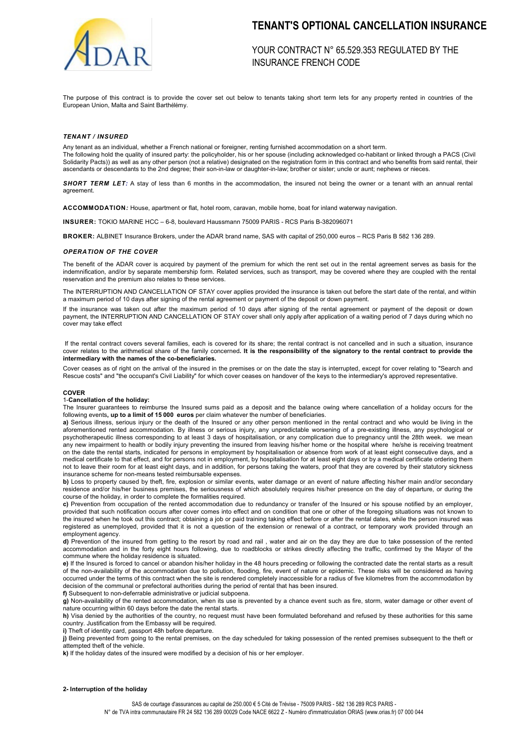

# **TENANT'S OPTIONAL CANCELLATION INSURANCE**

YOUR CONTRACT N° 65.529.353 REGULATED BY THE INSURANCE FRENCH CODE

The purpose of this contract is to provide the cover set out below to tenants taking short term lets for any property rented in countries of the European Union, Malta and Saint Barthélémy.

### *TENANT / INSURED*

Any tenant as an individual, whether a French national or foreigner, renting furnished accommodation on a short term. The following hold the quality of insured party: the policyholder, his or her spouse (including acknowledged co-habitant or linked through a PACS (Civil Solidarity Pacts)) as well as any other person (not a relative) designated on the registration form in this contract and who benefits from said rental, their ascendants or descendants to the 2nd degree; their son-in-law or daughter-in-law; brother or sister; uncle or aunt; nephews or nieces.

**SHORT TERM LET:** A stay of less than 6 months in the accommodation, the insured not being the owner or a tenant with an annual rental agreement.

**ACCOMMODATION***:* House, apartment or flat, hotel room, caravan, mobile home, boat for inland waterway navigation.

**INSURER:** TOKIO MARINE HCC – 6-8, boulevard Haussmann 75009 PARIS - RCS Paris B-382096071

**BROKER:** ALBINET Insurance Brokers, under the ADAR brand name, SAS with capital of 250,000 euros – RCS Paris B 582 136 289.

#### *OPERATION OF THE COVER*

The benefit of the ADAR cover is acquired by payment of the premium for which the rent set out in the rental agreement serves as basis for the indemnification, and/or by separate membership form. Related services, such as transport, may be covered where they are coupled with the rental reservation and the premium also relates to these services.

The INTERRUPTION AND CANCELLATION OF STAY cover applies provided the insurance is taken out before the start date of the rental, and within a maximum period of 10 days after signing of the rental agreement or payment of the deposit or down payment.

If the insurance was taken out after the maximum period of 10 days after signing of the rental agreement or payment of the deposit or down payment, the INTERRUPTION AND CANCELLATION OF STAY cover shall only apply after application of a waiting period of 7 days during which no cover may take effect

If the rental contract covers several families, each is covered for its share; the rental contract is not cancelled and in such a situation, insurance cover relates to the arithmetical share of the family concerned**. It is the responsibility of the signatory to the rental contract to provide the intermediary with the names of the co-beneficiaries.**

Cover ceases as of right on the arrival of the insured in the premises or on the date the stay is interrupted, except for cover relating to "Search and Rescue costs" and "the occupant's Civil Liability" for which cover ceases on handover of the keys to the intermediary's approved representative.

#### **COVER**

# 1-**Cancellation of the holiday:**

The Insurer guarantees to reimburse the Insured sums paid as a deposit and the balance owing where cancellation of a holiday occurs for the following events**, up to a limit of 15 000 euros** per claim whatever the number of beneficiaries.

**a)** Serious illness, serious injury or the death of the Insured or any other person mentioned in the rental contract and who would be living in the aforementioned rented accommodation. By illness or serious injury, any unpredictable worsening of a pre-existing illness, any psychological or psychotherapeutic illness corresponding to at least 3 days of hospitalisation, or any complication due to pregnancy until the 28th week. we mean any new impairment to health or bodily injury preventing the insured from leaving his/her home or the hospital where he/she is receiving treatment on the date the rental starts, indicated for persons in employment by hospitalisation or absence from work of at least eight consecutive days, and a medical certificate to that effect, and for persons not in employment, by hospitalisation for at least eight days or by a medical certificate ordering them not to leave their room for at least eight days, and in addition, for persons taking the waters, proof that they are covered by their statutory sickness insurance scheme for non-means tested reimbursable expenses.

**b)** Loss to property caused by theft, fire, explosion or similar events, water damage or an event of nature affecting his/her main and/or secondary residence and/or his/her business premises, the seriousness of which absolutely requires his/her presence on the day of departure, or during the course of the holiday, in order to complete the formalities required.

**c)** Prevention from occupation of the rented accommodation due to redundancy or transfer of the Insured or his spouse notified by an employer, provided that such notification occurs after cover comes into effect and on condition that one or other of the foregoing situations was not known to the insured when he took out this contract; obtaining a job or paid training taking effect before or after the rental dates, while the person insured was registered as unemployed, provided that it is not a question of the extension or renewal of a contract, or temporary work provided through an employment agency.

**d)** Prevention of the insured from getting to the resort by road and rail , water and air on the day they are due to take possession of the rented accommodation and in the forty eight hours following, due to roadblocks or strikes directly affecting the traffic, confirmed by the Mayor of the commune where the holiday residence is situated.

**e)** If the Insured is forced to cancel or abandon his/her holiday in the 48 hours preceding or following the contracted date the rental starts as a result of the non-availability of the accommodation due to pollution, flooding, fire, event of nature or epidemic. These risks will be considered as having occurred under the terms of this contract when the site is rendered completely inaccessible for a radius of five kilometres from the accommodation by decision of the communal or prefectoral authorities during the period of rental that has been insured.

**f)** Subsequent to non-deferrable administrative or judicial subpoena.

**g)** Non-availability of the rented accommodation, when its use is prevented by a chance event such as fire, storm, water damage or other event of nature occurring within 60 days before the date the rental starts.

**h)** Visa denied by the authorities of the country, no request must have been formulated beforehand and refused by these authorities for this same country. Justification from the Embassy will be required.

**i)** Theft of identity card, passport 48h before departure.

**j)** Being prevented from going to the rental premises, on the day scheduled for taking possession of the rented premises subsequent to the theft or attempted theft of the vehicle.

**k)** If the holiday dates of the insured were modified by a decision of his or her employer.